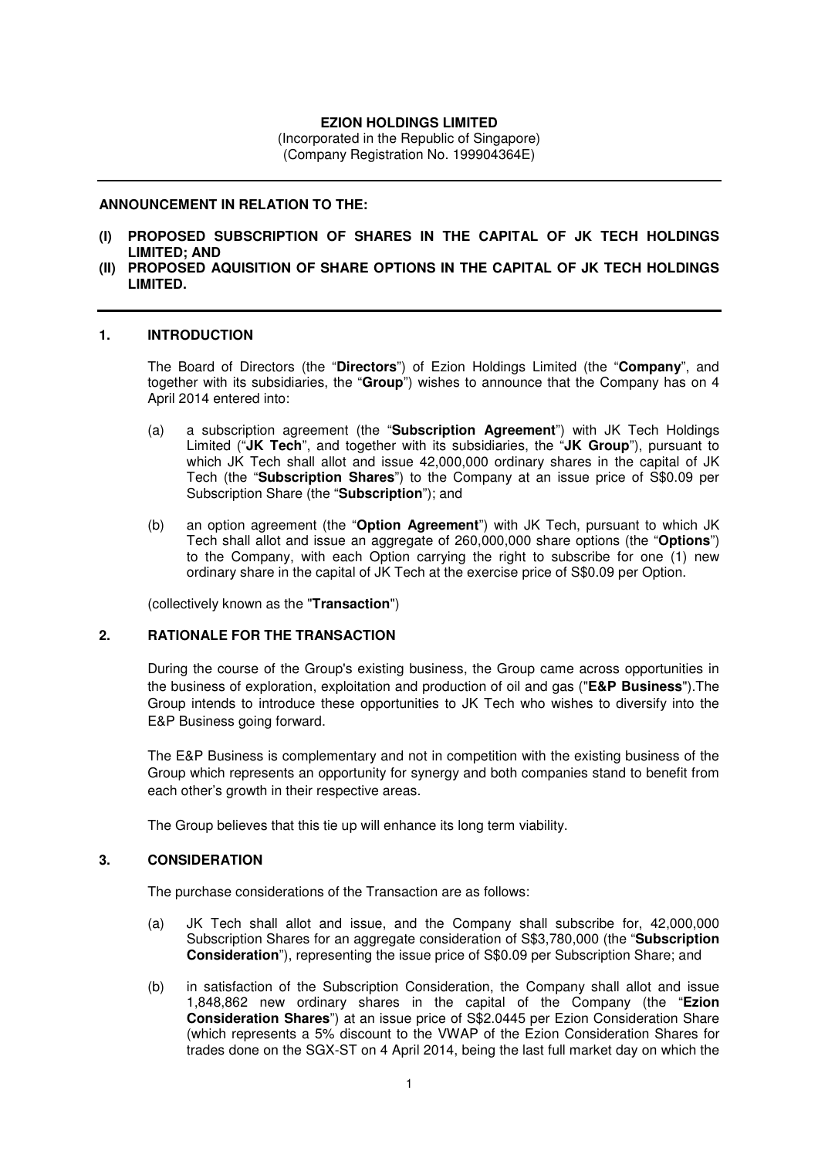# **EZION HOLDINGS LIMITED**

(Incorporated in the Republic of Singapore) (Company Registration No. 199904364E)

#### **ANNOUNCEMENT IN RELATION TO THE:**

- **(I) PROPOSED SUBSCRIPTION OF SHARES IN THE CAPITAL OF JK TECH HOLDINGS LIMITED; AND**
- **(II) PROPOSED AQUISITION OF SHARE OPTIONS IN THE CAPITAL OF JK TECH HOLDINGS LIMITED.**

#### **1. INTRODUCTION**

The Board of Directors (the "**Directors**") of Ezion Holdings Limited (the "**Company**", and together with its subsidiaries, the "**Group**") wishes to announce that the Company has on 4 April 2014 entered into:

- (a) a subscription agreement (the "**Subscription Agreement**") with JK Tech Holdings Limited ("**JK Tech**", and together with its subsidiaries, the "**JK Group**"), pursuant to which JK Tech shall allot and issue 42,000,000 ordinary shares in the capital of JK Tech (the "**Subscription Shares**") to the Company at an issue price of S\$0.09 per Subscription Share (the "**Subscription**"); and
- (b) an option agreement (the "**Option Agreement**") with JK Tech, pursuant to which JK Tech shall allot and issue an aggregate of 260,000,000 share options (the "**Options**") to the Company, with each Option carrying the right to subscribe for one (1) new ordinary share in the capital of JK Tech at the exercise price of S\$0.09 per Option.

(collectively known as the "**Transaction**")

## **2. RATIONALE FOR THE TRANSACTION**

During the course of the Group's existing business, the Group came across opportunities in the business of exploration, exploitation and production of oil and gas ("**E&P Business**").The Group intends to introduce these opportunities to JK Tech who wishes to diversify into the E&P Business going forward.

The E&P Business is complementary and not in competition with the existing business of the Group which represents an opportunity for synergy and both companies stand to benefit from each other's growth in their respective areas.

The Group believes that this tie up will enhance its long term viability.

## **3. CONSIDERATION**

The purchase considerations of the Transaction are as follows:

- (a) JK Tech shall allot and issue, and the Company shall subscribe for, 42,000,000 Subscription Shares for an aggregate consideration of S\$3,780,000 (the "**Subscription Consideration**"), representing the issue price of S\$0.09 per Subscription Share; and
- (b) in satisfaction of the Subscription Consideration, the Company shall allot and issue 1,848,862 new ordinary shares in the capital of the Company (the "**Ezion Consideration Shares**") at an issue price of S\$2.0445 per Ezion Consideration Share (which represents a 5% discount to the VWAP of the Ezion Consideration Shares for trades done on the SGX-ST on 4 April 2014, being the last full market day on which the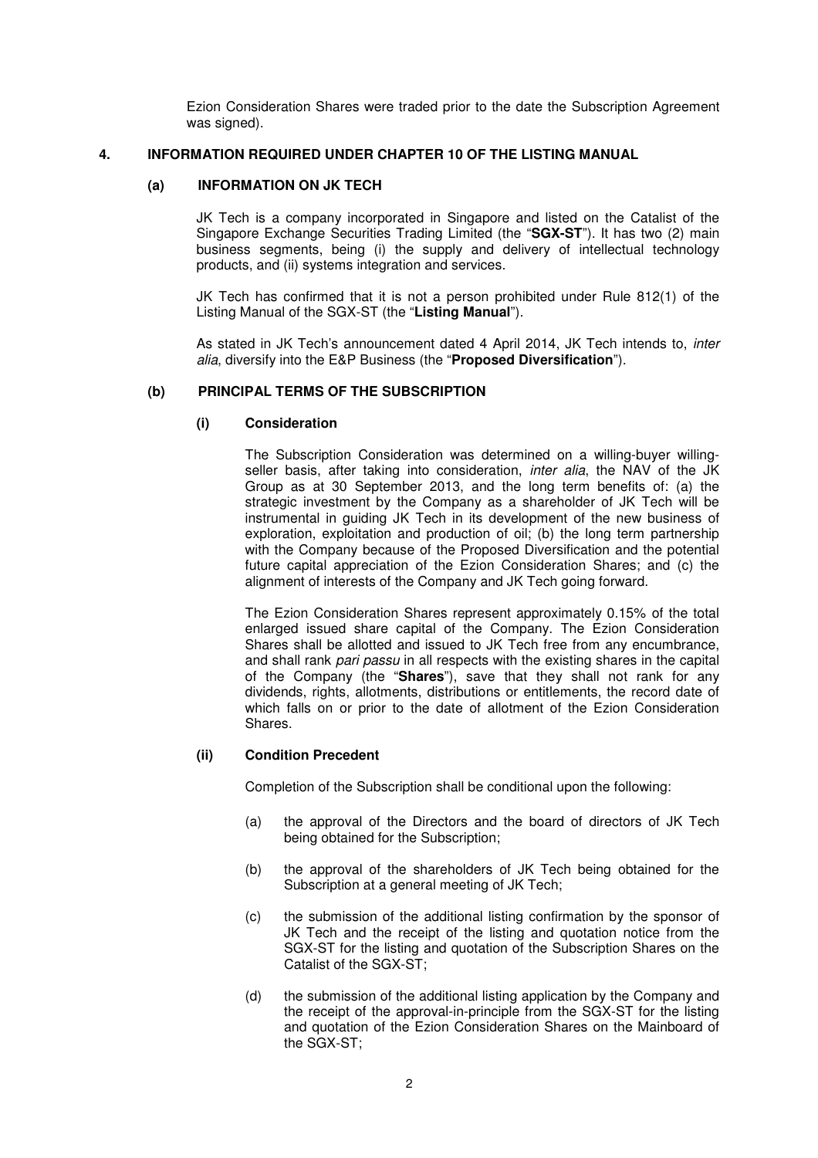Ezion Consideration Shares were traded prior to the date the Subscription Agreement was signed).

### **4. INFORMATION REQUIRED UNDER CHAPTER 10 OF THE LISTING MANUAL**

## **(a) INFORMATION ON JK TECH**

JK Tech is a company incorporated in Singapore and listed on the Catalist of the Singapore Exchange Securities Trading Limited (the "**SGX-ST**"). It has two (2) main business segments, being (i) the supply and delivery of intellectual technology products, and (ii) systems integration and services.

JK Tech has confirmed that it is not a person prohibited under Rule 812(1) of the Listing Manual of the SGX-ST (the "**Listing Manual**").

As stated in JK Tech's announcement dated 4 April 2014, JK Tech intends to, inter alia, diversify into the E&P Business (the "**Proposed Diversification**").

## **(b) PRINCIPAL TERMS OF THE SUBSCRIPTION**

## **(i) Consideration**

The Subscription Consideration was determined on a willing-buyer willingseller basis, after taking into consideration, inter alia, the NAV of the JK Group as at 30 September 2013, and the long term benefits of: (a) the strategic investment by the Company as a shareholder of JK Tech will be instrumental in guiding JK Tech in its development of the new business of exploration, exploitation and production of oil; (b) the long term partnership with the Company because of the Proposed Diversification and the potential future capital appreciation of the Ezion Consideration Shares; and (c) the alignment of interests of the Company and JK Tech going forward.

The Ezion Consideration Shares represent approximately 0.15% of the total enlarged issued share capital of the Company. The Ezion Consideration Shares shall be allotted and issued to JK Tech free from any encumbrance, and shall rank pari passu in all respects with the existing shares in the capital of the Company (the "**Shares**"), save that they shall not rank for any dividends, rights, allotments, distributions or entitlements, the record date of which falls on or prior to the date of allotment of the Ezion Consideration Shares.

#### **(ii) Condition Precedent**

Completion of the Subscription shall be conditional upon the following:

- (a) the approval of the Directors and the board of directors of JK Tech being obtained for the Subscription;
- (b) the approval of the shareholders of JK Tech being obtained for the Subscription at a general meeting of JK Tech;
- (c) the submission of the additional listing confirmation by the sponsor of JK Tech and the receipt of the listing and quotation notice from the SGX-ST for the listing and quotation of the Subscription Shares on the Catalist of the SGX-ST;
- (d) the submission of the additional listing application by the Company and the receipt of the approval-in-principle from the SGX-ST for the listing and quotation of the Ezion Consideration Shares on the Mainboard of the SGX-ST;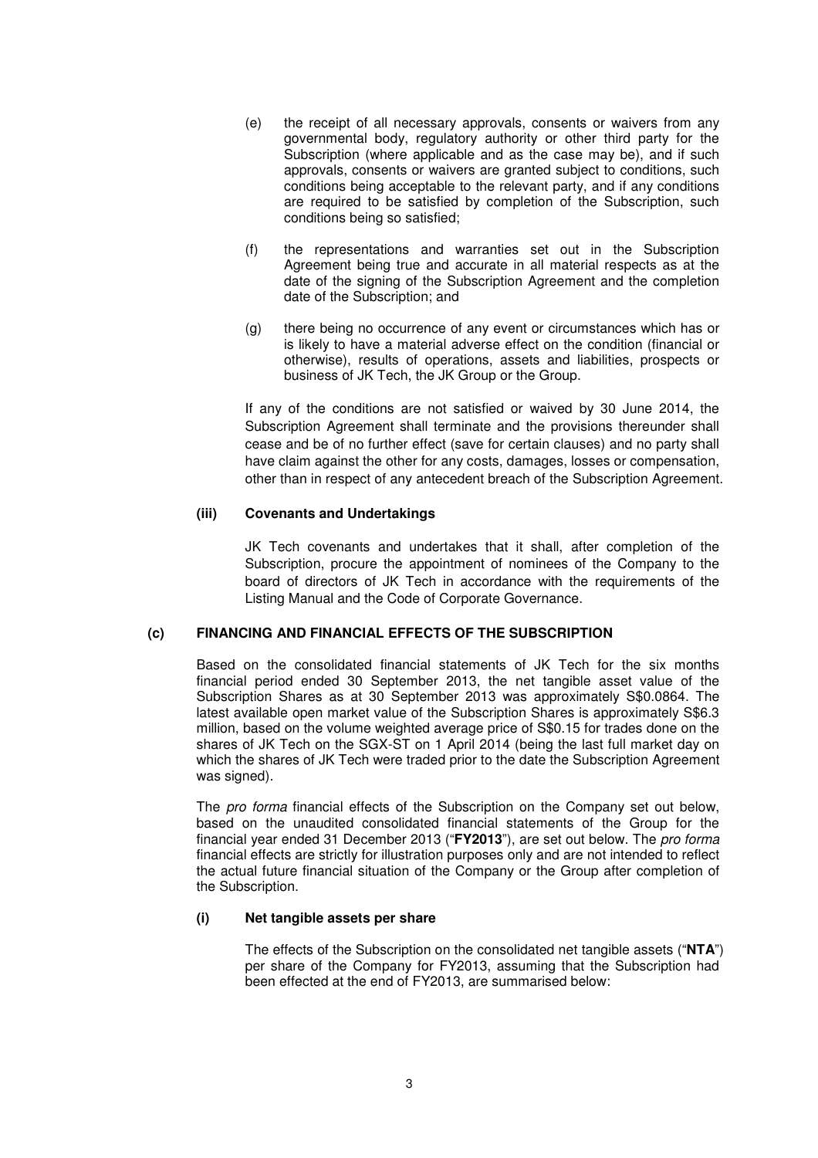- (e) the receipt of all necessary approvals, consents or waivers from any governmental body, regulatory authority or other third party for the Subscription (where applicable and as the case may be), and if such approvals, consents or waivers are granted subject to conditions, such conditions being acceptable to the relevant party, and if any conditions are required to be satisfied by completion of the Subscription, such conditions being so satisfied;
- (f) the representations and warranties set out in the Subscription Agreement being true and accurate in all material respects as at the date of the signing of the Subscription Agreement and the completion date of the Subscription; and
- (g) there being no occurrence of any event or circumstances which has or is likely to have a material adverse effect on the condition (financial or otherwise), results of operations, assets and liabilities, prospects or business of JK Tech, the JK Group or the Group.

If any of the conditions are not satisfied or waived by 30 June 2014, the Subscription Agreement shall terminate and the provisions thereunder shall cease and be of no further effect (save for certain clauses) and no party shall have claim against the other for any costs, damages, losses or compensation, other than in respect of any antecedent breach of the Subscription Agreement.

## **(iii) Covenants and Undertakings**

JK Tech covenants and undertakes that it shall, after completion of the Subscription, procure the appointment of nominees of the Company to the board of directors of JK Tech in accordance with the requirements of the Listing Manual and the Code of Corporate Governance.

#### **(c) FINANCING AND FINANCIAL EFFECTS OF THE SUBSCRIPTION**

Based on the consolidated financial statements of JK Tech for the six months financial period ended 30 September 2013, the net tangible asset value of the Subscription Shares as at 30 September 2013 was approximately S\$0.0864. The latest available open market value of the Subscription Shares is approximately S\$6.3 million, based on the volume weighted average price of S\$0.15 for trades done on the shares of JK Tech on the SGX-ST on 1 April 2014 (being the last full market day on which the shares of JK Tech were traded prior to the date the Subscription Agreement was signed).

The pro forma financial effects of the Subscription on the Company set out below, based on the unaudited consolidated financial statements of the Group for the financial year ended 31 December 2013 ("**FY2013**"), are set out below. The pro forma financial effects are strictly for illustration purposes only and are not intended to reflect the actual future financial situation of the Company or the Group after completion of the Subscription.

#### **(i) Net tangible assets per share**

The effects of the Subscription on the consolidated net tangible assets ("**NTA**") per share of the Company for FY2013, assuming that the Subscription had been effected at the end of FY2013, are summarised below: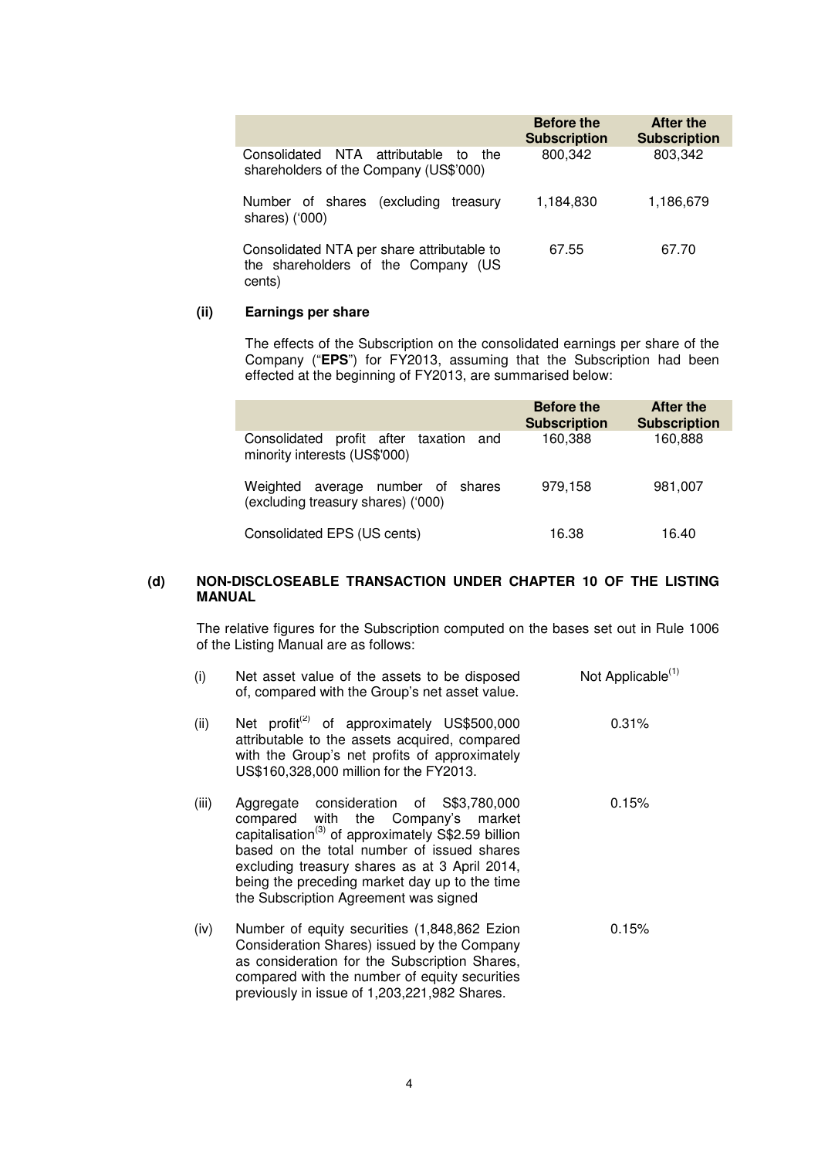|                                                                                             | <b>Before the</b><br><b>Subscription</b> | After the<br><b>Subscription</b> |
|---------------------------------------------------------------------------------------------|------------------------------------------|----------------------------------|
| Consolidated NTA attributable<br>the<br>to<br>shareholders of the Company (US\$'000)        | 800,342                                  | 803,342                          |
| Number of shares (excluding<br>treasury<br>shares) ('000)                                   | 1,184,830                                | 1,186,679                        |
| Consolidated NTA per share attributable to<br>the shareholders of the Company (US<br>cents) | 67.55                                    | 67.70                            |

## **(ii) Earnings per share**

The effects of the Subscription on the consolidated earnings per share of the Company ("**EPS**") for FY2013, assuming that the Subscription had been effected at the beginning of FY2013, are summarised below:

|                                                                            | <b>Before the</b><br><b>Subscription</b> | After the<br><b>Subscription</b> |
|----------------------------------------------------------------------------|------------------------------------------|----------------------------------|
| Consolidated profit after taxation<br>and<br>minority interests (US\$'000) | 160,388                                  | 160,888                          |
| Weighted average number of shares<br>(excluding treasury shares) ('000)    | 979,158                                  | 981,007                          |
| Consolidated EPS (US cents)                                                | 16.38                                    | 16.40                            |

## **(d) NON-DISCLOSEABLE TRANSACTION UNDER CHAPTER 10 OF THE LISTING MANUAL**

The relative figures for the Subscription computed on the bases set out in Rule 1006 of the Listing Manual are as follows:

| (i)   | Net asset value of the assets to be disposed<br>of, compared with the Group's net asset value.                                                                                                                                                                                                                                           | Not Applicable <sup>(1)</sup> |
|-------|------------------------------------------------------------------------------------------------------------------------------------------------------------------------------------------------------------------------------------------------------------------------------------------------------------------------------------------|-------------------------------|
| (ii)  | Net profit <sup>(2)</sup> of approximately US\$500,000<br>attributable to the assets acquired, compared<br>with the Group's net profits of approximately<br>US\$160,328,000 million for the FY2013.                                                                                                                                      | 0.31%                         |
| (iii) | Aggregate consideration of S\$3,780,000<br>compared with the Company's market<br>capitalisation <sup>(3)</sup> of approximately S\$2.59 billion<br>based on the total number of issued shares<br>excluding treasury shares as at 3 April 2014,<br>being the preceding market day up to the time<br>the Subscription Agreement was signed | 0.15%                         |
| (iv)  | Number of equity securities (1,848,862 Ezion<br>Consideration Shares) issued by the Company<br>as consideration for the Subscription Shares,<br>compared with the number of equity securities<br>previously in issue of 1,203,221,982 Shares.                                                                                            | 0.15%                         |